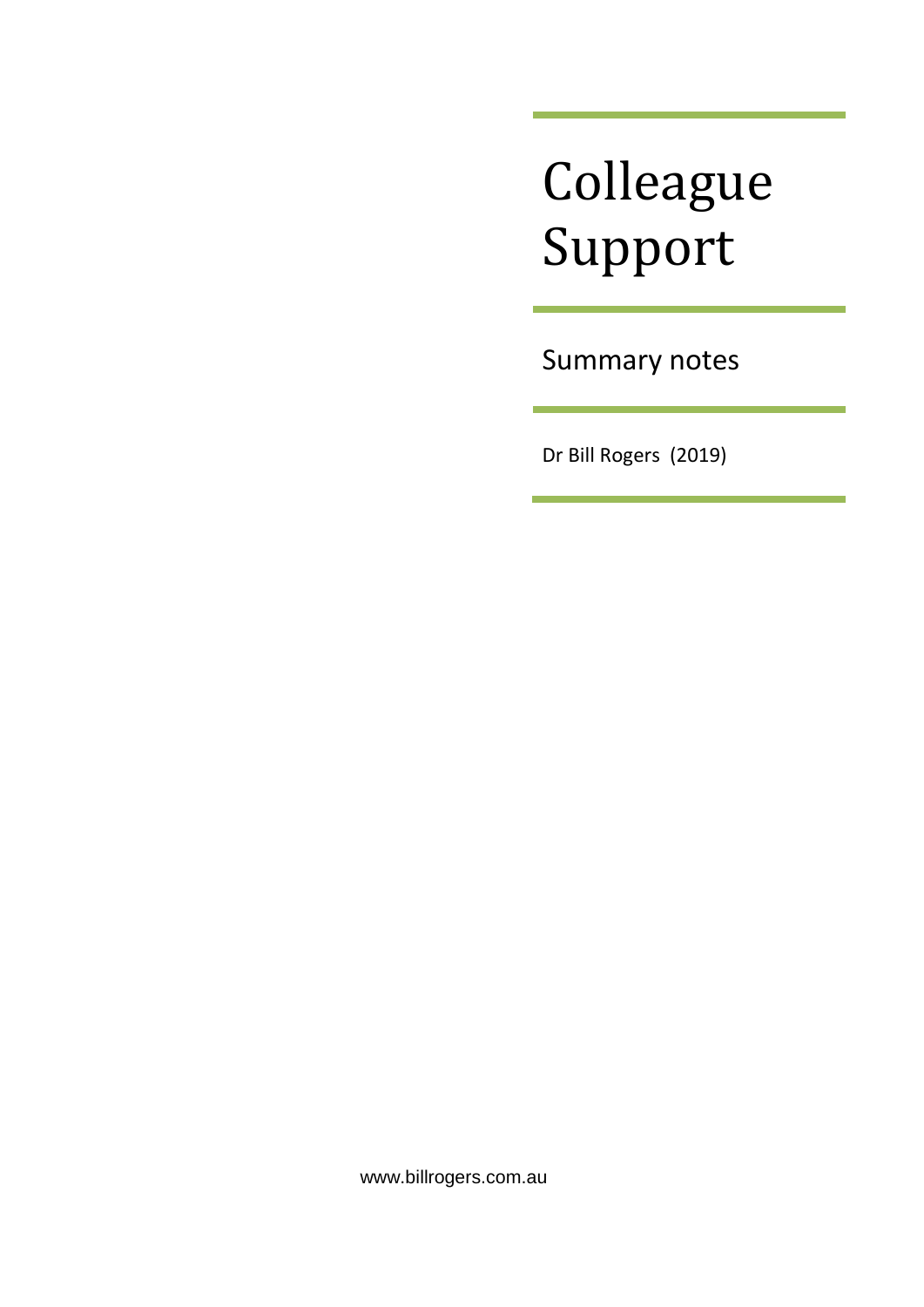# Colleague Support

Summary notes

Dr Bill Rogers (2019)

www.billrogers.com.au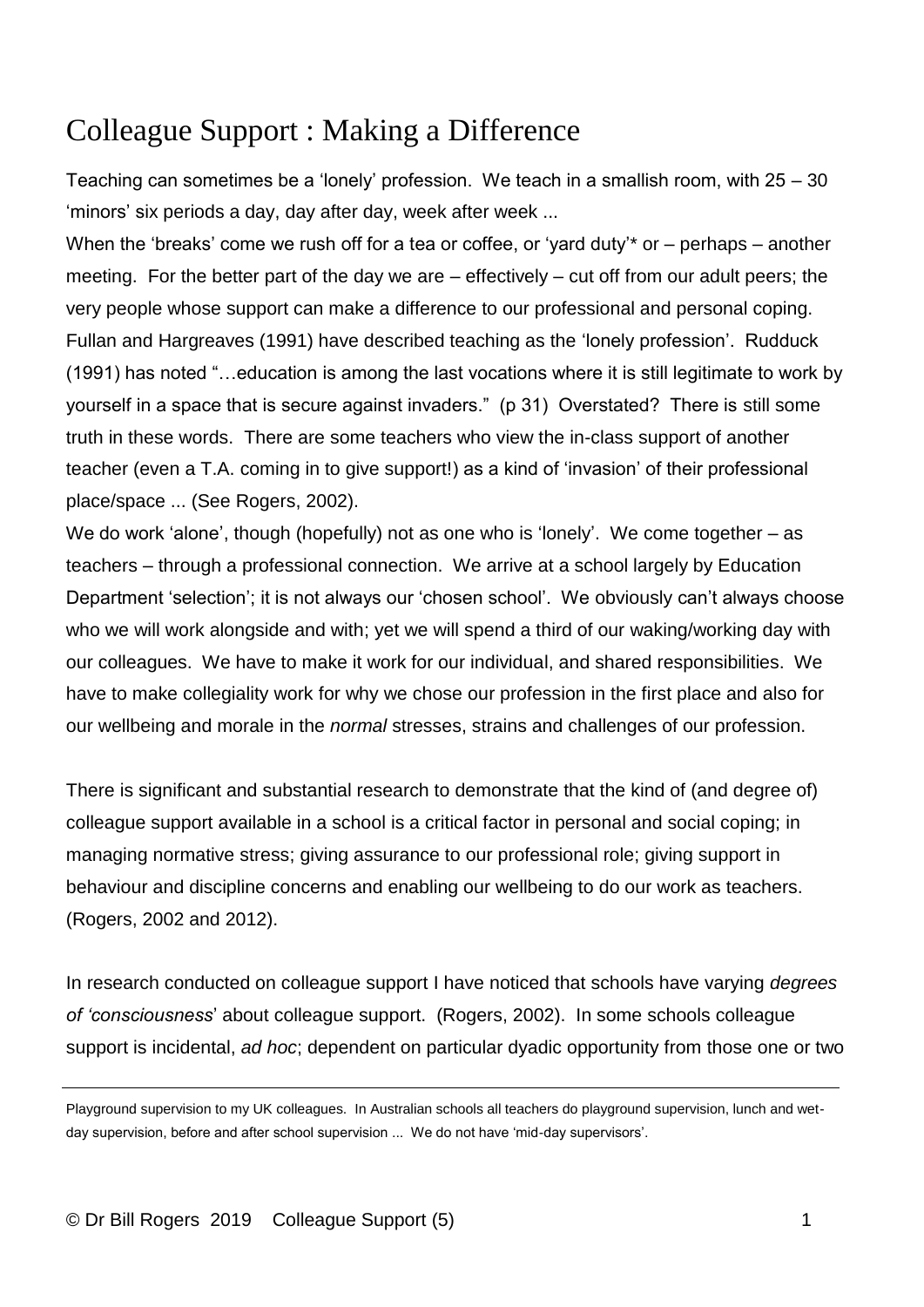# Colleague Support : Making a Difference

Teaching can sometimes be a 'lonely' profession. We teach in a smallish room, with 25 – 30 'minors' six periods a day, day after day, week after week ...

When the 'breaks' come we rush off for a tea or coffee, or 'yard duty'\* or – perhaps – another meeting. For the better part of the day we are – effectively – cut off from our adult peers; the very people whose support can make a difference to our professional and personal coping. Fullan and Hargreaves (1991) have described teaching as the 'lonely profession'. Rudduck (1991) has noted "…education is among the last vocations where it is still legitimate to work by yourself in a space that is secure against invaders." (p 31) Overstated? There is still some truth in these words. There are some teachers who view the in-class support of another teacher (even a T.A. coming in to give support!) as a kind of 'invasion' of their professional place/space ... (See Rogers, 2002).

We do work 'alone', though (hopefully) not as one who is 'lonely'. We come together – as teachers – through a professional connection. We arrive at a school largely by Education Department 'selection'; it is not always our 'chosen school'. We obviously can't always choose who we will work alongside and with; yet we will spend a third of our waking/working day with our colleagues. We have to make it work for our individual, and shared responsibilities. We have to make collegiality work for why we chose our profession in the first place and also for our wellbeing and morale in the *normal* stresses, strains and challenges of our profession.

There is significant and substantial research to demonstrate that the kind of (and degree of) colleague support available in a school is a critical factor in personal and social coping; in managing normative stress; giving assurance to our professional role; giving support in behaviour and discipline concerns and enabling our wellbeing to do our work as teachers. (Rogers, 2002 and 2012).

In research conducted on colleague support I have noticed that schools have varying *degrees of 'consciousness*' about colleague support. (Rogers, 2002). In some schools colleague support is incidental, *ad hoc*; dependent on particular dyadic opportunity from those one or two

Playground supervision to my UK colleagues. In Australian schools all teachers do playground supervision, lunch and wetday supervision, before and after school supervision ... We do not have 'mid-day supervisors'.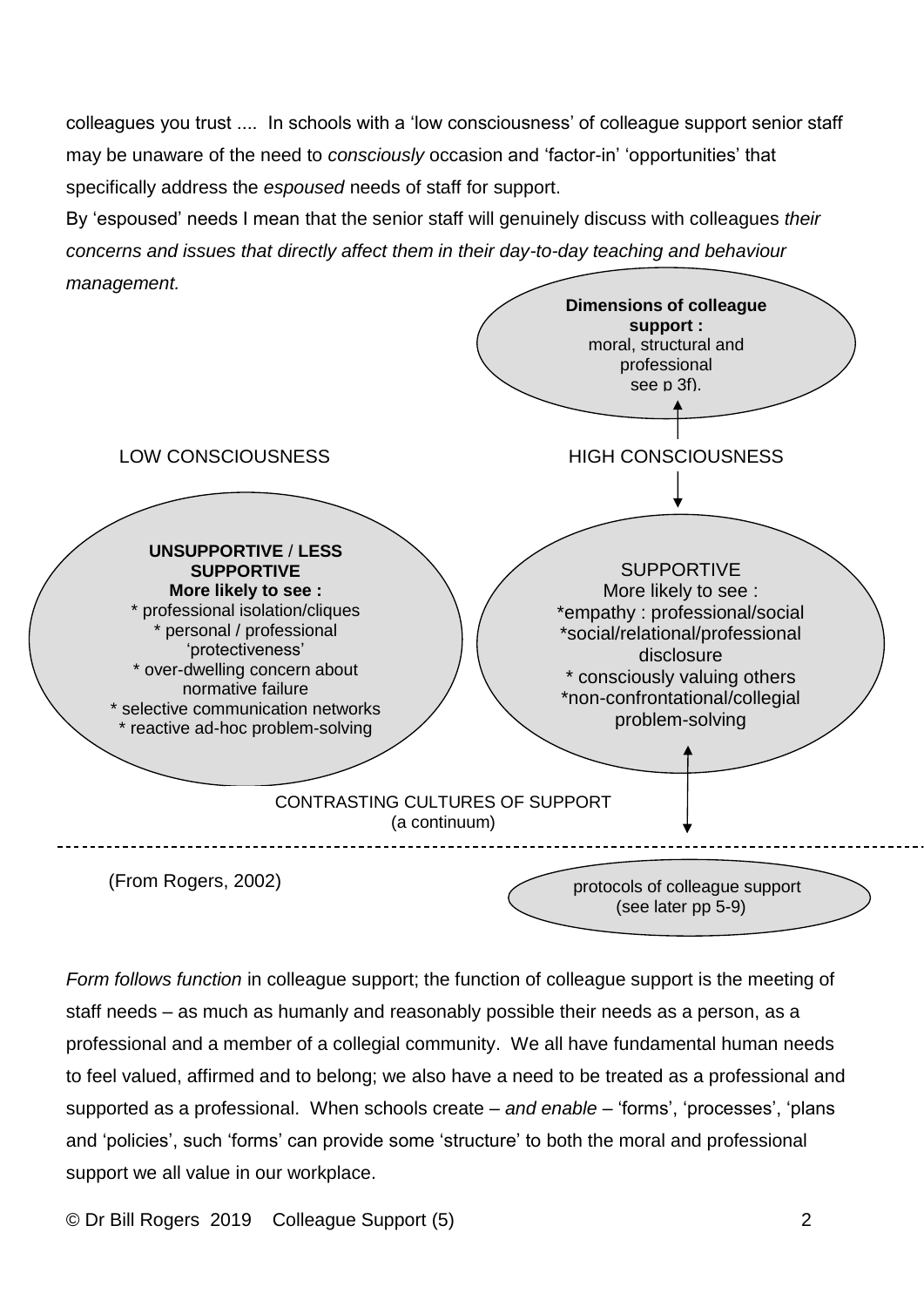colleagues you trust .... In schools with a 'low consciousness' of colleague support senior staff may be unaware of the need to *consciously* occasion and 'factor-in' 'opportunities' that specifically address the *espoused* needs of staff for support.

By 'espoused' needs I mean that the senior staff will genuinely discuss with colleagues *their concerns and issues that directly affect them in their day-to-day teaching and behaviour management.*



*Form follows function* in colleague support; the function of colleague support is the meeting of staff needs – as much as humanly and reasonably possible their needs as a person, as a professional and a member of a collegial community. We all have fundamental human needs to feel valued, affirmed and to belong; we also have a need to be treated as a professional and supported as a professional. When schools create – *and enable* – 'forms', 'processes', 'plans and 'policies', such 'forms' can provide some 'structure' to both the moral and professional support we all value in our workplace.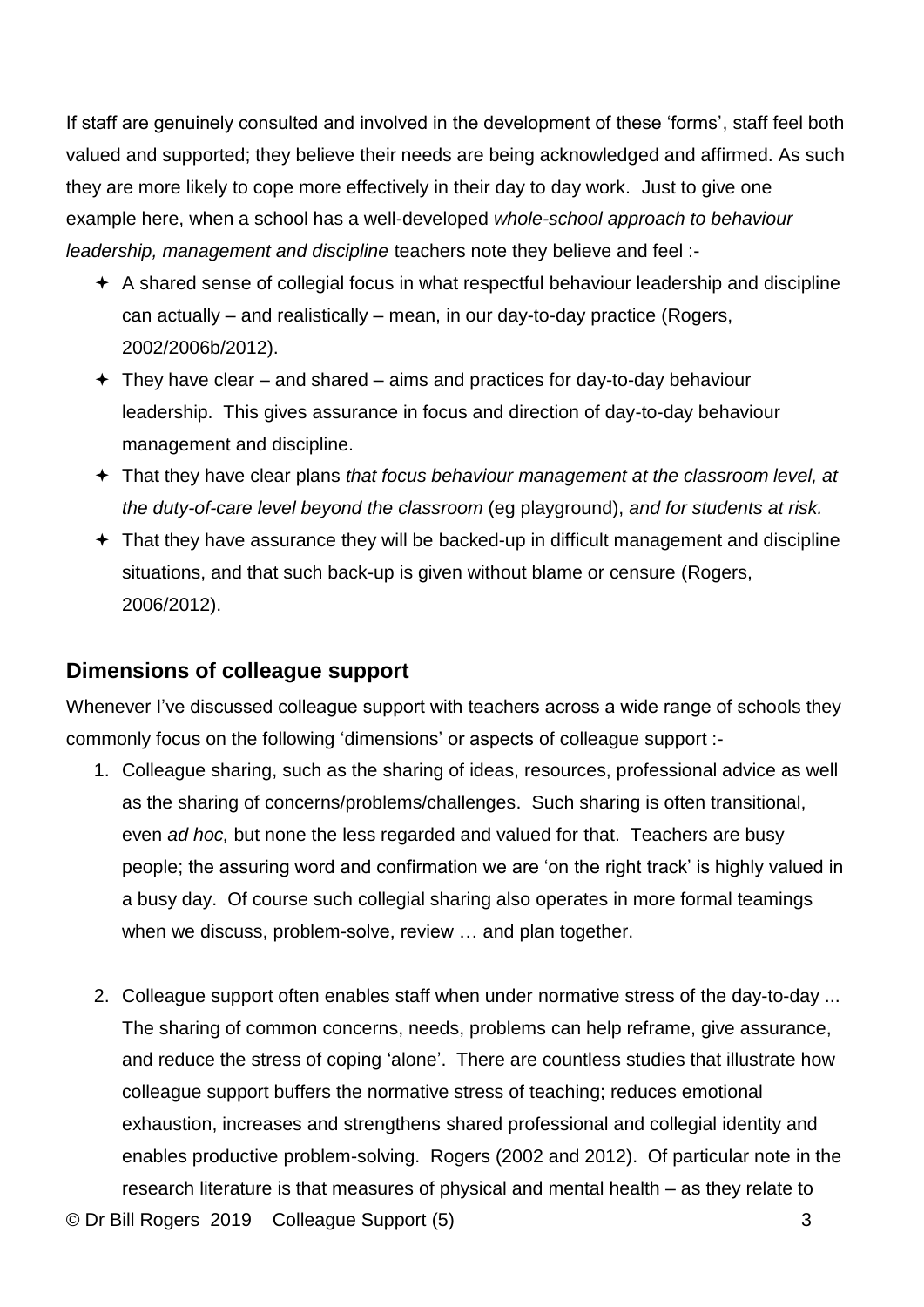If staff are genuinely consulted and involved in the development of these 'forms', staff feel both valued and supported; they believe their needs are being acknowledged and affirmed. As such they are more likely to cope more effectively in their day to day work. Just to give one example here, when a school has a well-developed *whole-school approach to behaviour leadership, management and discipline* teachers note they believe and feel :-

- $\div$  A shared sense of collegial focus in what respectful behaviour leadership and discipline can actually – and realistically – mean, in our day-to-day practice (Rogers, 2002/2006b/2012).
- $+$  They have clear and shared aims and practices for day-to-day behaviour leadership. This gives assurance in focus and direction of day-to-day behaviour management and discipline.
- That they have clear plans *that focus behaviour management at the classroom level, at the duty-of-care level beyond the classroom* (eg playground), *and for students at risk.*
- $+$  That they have assurance they will be backed-up in difficult management and discipline situations, and that such back-up is given without blame or censure (Rogers, 2006/2012).

### **Dimensions of colleague support**

Whenever I've discussed colleague support with teachers across a wide range of schools they commonly focus on the following 'dimensions' or aspects of colleague support :-

- 1. Colleague sharing, such as the sharing of ideas, resources, professional advice as well as the sharing of concerns/problems/challenges. Such sharing is often transitional, even *ad hoc,* but none the less regarded and valued for that. Teachers are busy people; the assuring word and confirmation we are 'on the right track' is highly valued in a busy day. Of course such collegial sharing also operates in more formal teamings when we discuss, problem-solve, review … and plan together.
- © Dr Bill Rogers 2019 Colleague Support (5) 3 2. Colleague support often enables staff when under normative stress of the day-to-day ... The sharing of common concerns, needs, problems can help reframe, give assurance, and reduce the stress of coping 'alone'. There are countless studies that illustrate how colleague support buffers the normative stress of teaching; reduces emotional exhaustion, increases and strengthens shared professional and collegial identity and enables productive problem-solving. Rogers (2002 and 2012). Of particular note in the research literature is that measures of physical and mental health – as they relate to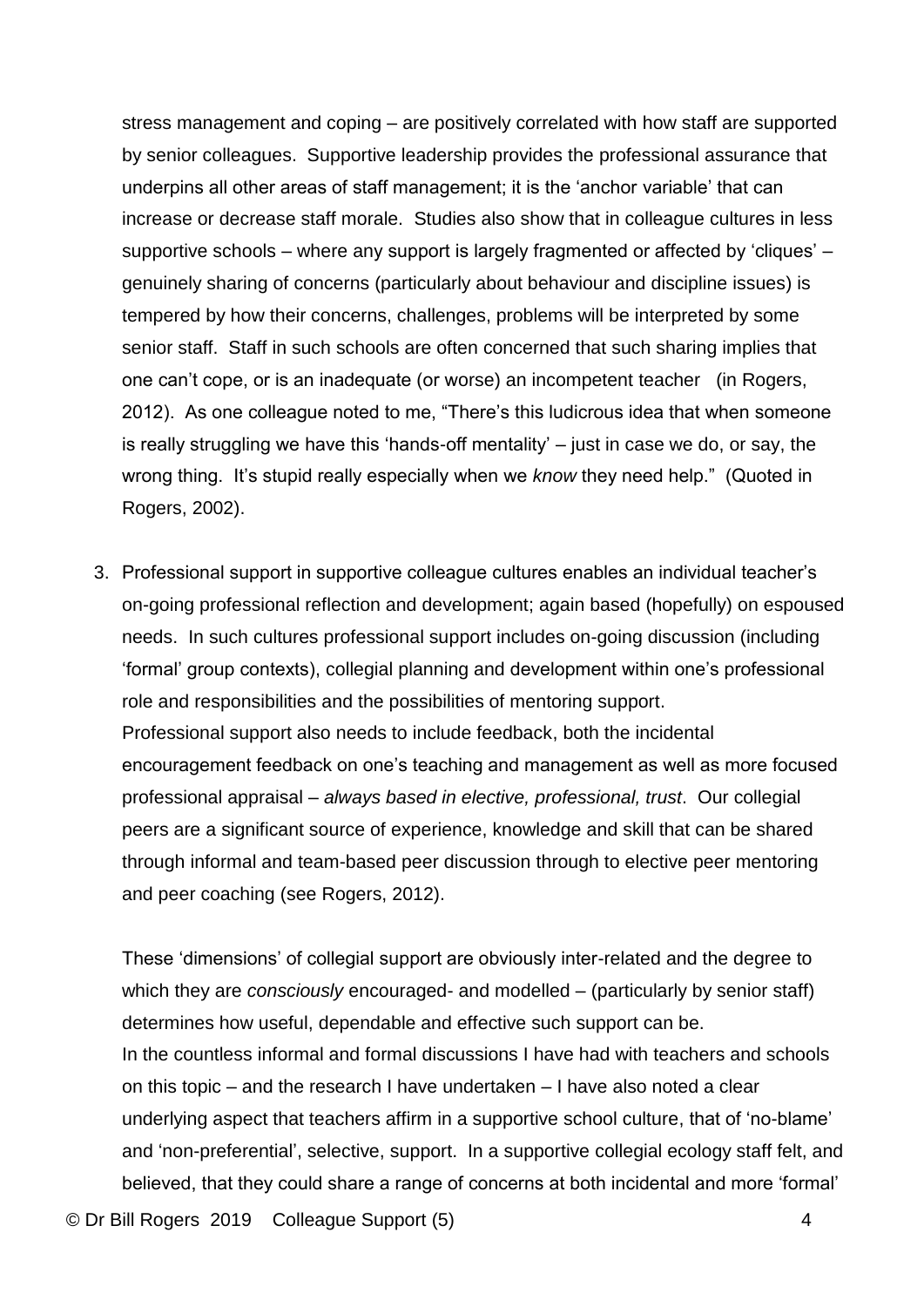stress management and coping – are positively correlated with how staff are supported by senior colleagues. Supportive leadership provides the professional assurance that underpins all other areas of staff management; it is the 'anchor variable' that can increase or decrease staff morale. Studies also show that in colleague cultures in less supportive schools – where any support is largely fragmented or affected by 'cliques' – genuinely sharing of concerns (particularly about behaviour and discipline issues) is tempered by how their concerns, challenges, problems will be interpreted by some senior staff. Staff in such schools are often concerned that such sharing implies that one can't cope, or is an inadequate (or worse) an incompetent teacher (in Rogers, 2012). As one colleague noted to me, "There's this ludicrous idea that when someone is really struggling we have this 'hands-off mentality' – just in case we do, or say, the wrong thing. It's stupid really especially when we *know* they need help." (Quoted in Rogers, 2002).

3. Professional support in supportive colleague cultures enables an individual teacher's on-going professional reflection and development; again based (hopefully) on espoused needs. In such cultures professional support includes on-going discussion (including 'formal' group contexts), collegial planning and development within one's professional role and responsibilities and the possibilities of mentoring support. Professional support also needs to include feedback, both the incidental encouragement feedback on one's teaching and management as well as more focused professional appraisal – *always based in elective, professional, trust*. Our collegial peers are a significant source of experience, knowledge and skill that can be shared through informal and team-based peer discussion through to elective peer mentoring and peer coaching (see Rogers, 2012).

These 'dimensions' of collegial support are obviously inter-related and the degree to which they are *consciously* encouraged- and modelled – (particularly by senior staff) determines how useful, dependable and effective such support can be. In the countless informal and formal discussions I have had with teachers and schools on this topic – and the research I have undertaken – I have also noted a clear underlying aspect that teachers affirm in a supportive school culture, that of 'no-blame' and 'non-preferential', selective, support. In a supportive collegial ecology staff felt, and believed, that they could share a range of concerns at both incidental and more 'formal'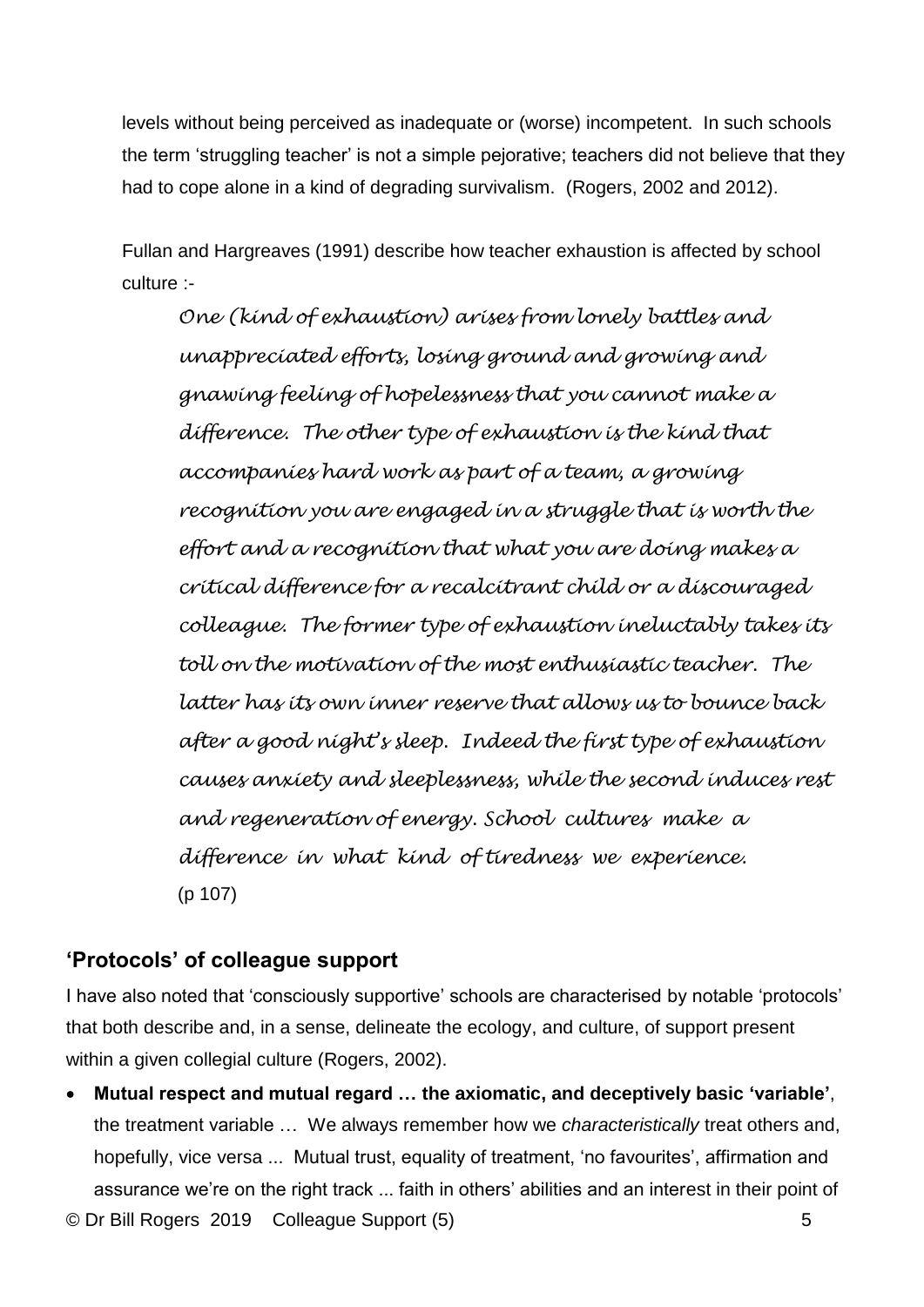levels without being perceived as inadequate or (worse) incompetent. In such schools the term 'struggling teacher' is not a simple pejorative; teachers did not believe that they had to cope alone in a kind of degrading survivalism. (Rogers, 2002 and 2012).

Fullan and Hargreaves (1991) describe how teacher exhaustion is affected by school culture :-

*One (kind of exhaustion) arises from lonely battles and unappreciated efforts, losing ground and growing and gnawing feeling of hopelessness that you cannot make a difference. The other type of exhaustion is the kind that accompanies hard work as part of a team, a growing recognition you are engaged in a struggle that is worth the effort and a recognition that what you are doing makes a critical difference for a recalcitrant child or a discouraged colleague. The former type of exhaustion ineluctably takes its toll on the motivation of the most enthusiastic teacher. The latter has its own inner reserve that allows us to bounce back after a good night's sleep. Indeed the first type of exhaustion causes anxiety and sleeplessness, while the second induces rest and regeneration of energy. School cultures make a difference in what kind of tiredness we experience.* (p 107)

## **'Protocols' of colleague support**

I have also noted that 'consciously supportive' schools are characterised by notable 'protocols' that both describe and, in a sense, delineate the ecology, and culture, of support present within a given collegial culture (Rogers, 2002).

© Dr Bill Rogers 2019 Colleague Support (5) 5 • **Mutual respect and mutual regard … the axiomatic, and deceptively basic 'variable'**, the treatment variable … We always remember how we *characteristically* treat others and, hopefully, vice versa ... Mutual trust, equality of treatment, 'no favourites', affirmation and assurance we're on the right track ... faith in others' abilities and an interest in their point of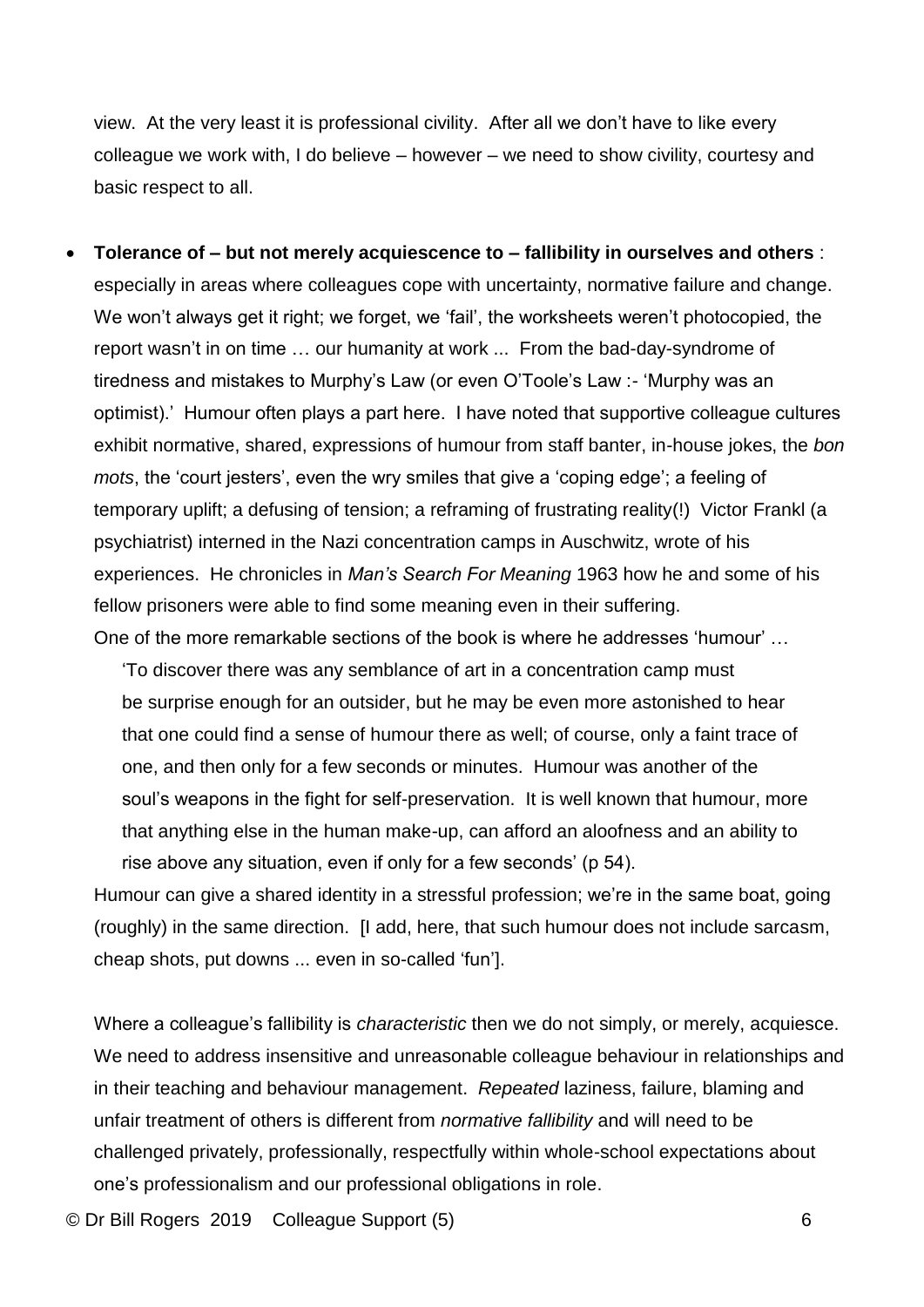view. At the very least it is professional civility. After all we don't have to like every colleague we work with, I do believe – however – we need to show civility, courtesy and basic respect to all.

• **Tolerance of – but not merely acquiescence to – fallibility in ourselves and others** : especially in areas where colleagues cope with uncertainty, normative failure and change. We won't always get it right; we forget, we 'fail', the worksheets weren't photocopied, the report wasn't in on time … our humanity at work ... From the bad-day-syndrome of tiredness and mistakes to Murphy's Law (or even O'Toole's Law :- 'Murphy was an optimist).' Humour often plays a part here. I have noted that supportive colleague cultures exhibit normative, shared, expressions of humour from staff banter, in-house jokes, the *bon mots*, the 'court jesters', even the wry smiles that give a 'coping edge'; a feeling of temporary uplift; a defusing of tension; a reframing of frustrating reality(!) Victor Frankl (a psychiatrist) interned in the Nazi concentration camps in Auschwitz, wrote of his experiences. He chronicles in *Man's Search For Meaning* 1963 how he and some of his fellow prisoners were able to find some meaning even in their suffering. One of the more remarkable sections of the book is where he addresses 'humour' …

'To discover there was any semblance of art in a concentration camp must be surprise enough for an outsider, but he may be even more astonished to hear that one could find a sense of humour there as well; of course, only a faint trace of one, and then only for a few seconds or minutes. Humour was another of the soul's weapons in the fight for self-preservation. It is well known that humour, more that anything else in the human make-up, can afford an aloofness and an ability to rise above any situation, even if only for a few seconds' (p 54).

Humour can give a shared identity in a stressful profession; we're in the same boat, going (roughly) in the same direction. [I add, here, that such humour does not include sarcasm, cheap shots, put downs ... even in so-called 'fun'].

Where a colleague's fallibility is *characteristic* then we do not simply, or merely, acquiesce. We need to address insensitive and unreasonable colleague behaviour in relationships and in their teaching and behaviour management. *Repeated* laziness, failure, blaming and unfair treatment of others is different from *normative fallibility* and will need to be challenged privately, professionally, respectfully within whole-school expectations about one's professionalism and our professional obligations in role.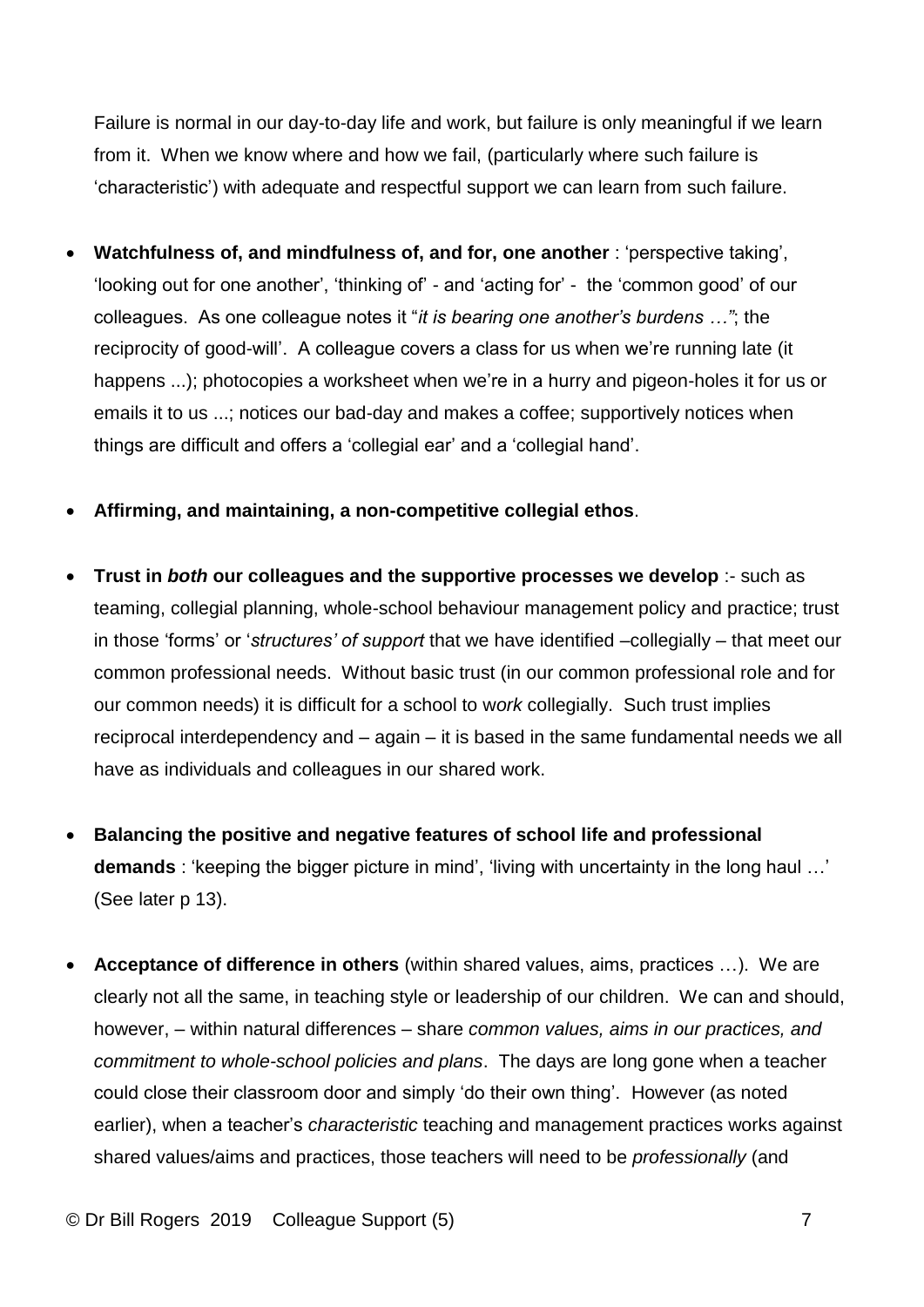Failure is normal in our day-to-day life and work, but failure is only meaningful if we learn from it. When we know where and how we fail, (particularly where such failure is 'characteristic') with adequate and respectful support we can learn from such failure.

- **Watchfulness of, and mindfulness of, and for, one another** : 'perspective taking', 'looking out for one another', 'thinking of' - and 'acting for' - the 'common good' of our colleagues. As one colleague notes it "*it is bearing one another's burdens …"*; the reciprocity of good-will'. A colleague covers a class for us when we're running late (it happens ...); photocopies a worksheet when we're in a hurry and pigeon-holes it for us or emails it to us ...; notices our bad-day and makes a coffee; supportively notices when things are difficult and offers a 'collegial ear' and a 'collegial hand'.
- **Affirming, and maintaining, a non-competitive collegial ethos**.
- **Trust in** *both* **our colleagues and the supportive processes we develop** :- such as teaming, collegial planning, whole-school behaviour management policy and practice; trust in those 'forms' or '*structures' of support* that we have identified –collegially – that meet our common professional needs. Without basic trust (in our common professional role and for our common needs) it is difficult for a school to w*ork* collegially. Such trust implies reciprocal interdependency and – again – it is based in the same fundamental needs we all have as individuals and colleagues in our shared work.
- **Balancing the positive and negative features of school life and professional demands** : 'keeping the bigger picture in mind', 'living with uncertainty in the long haul …' (See later p 13).
- **Acceptance of difference in others** (within shared values, aims, practices …). We are clearly not all the same, in teaching style or leadership of our children. We can and should, however, – within natural differences – share *common values, aims in our practices, and commitment to whole-school policies and plans*. The days are long gone when a teacher could close their classroom door and simply 'do their own thing'. However (as noted earlier), when a teacher's *characteristic* teaching and management practices works against shared values/aims and practices, those teachers will need to be *professionally* (and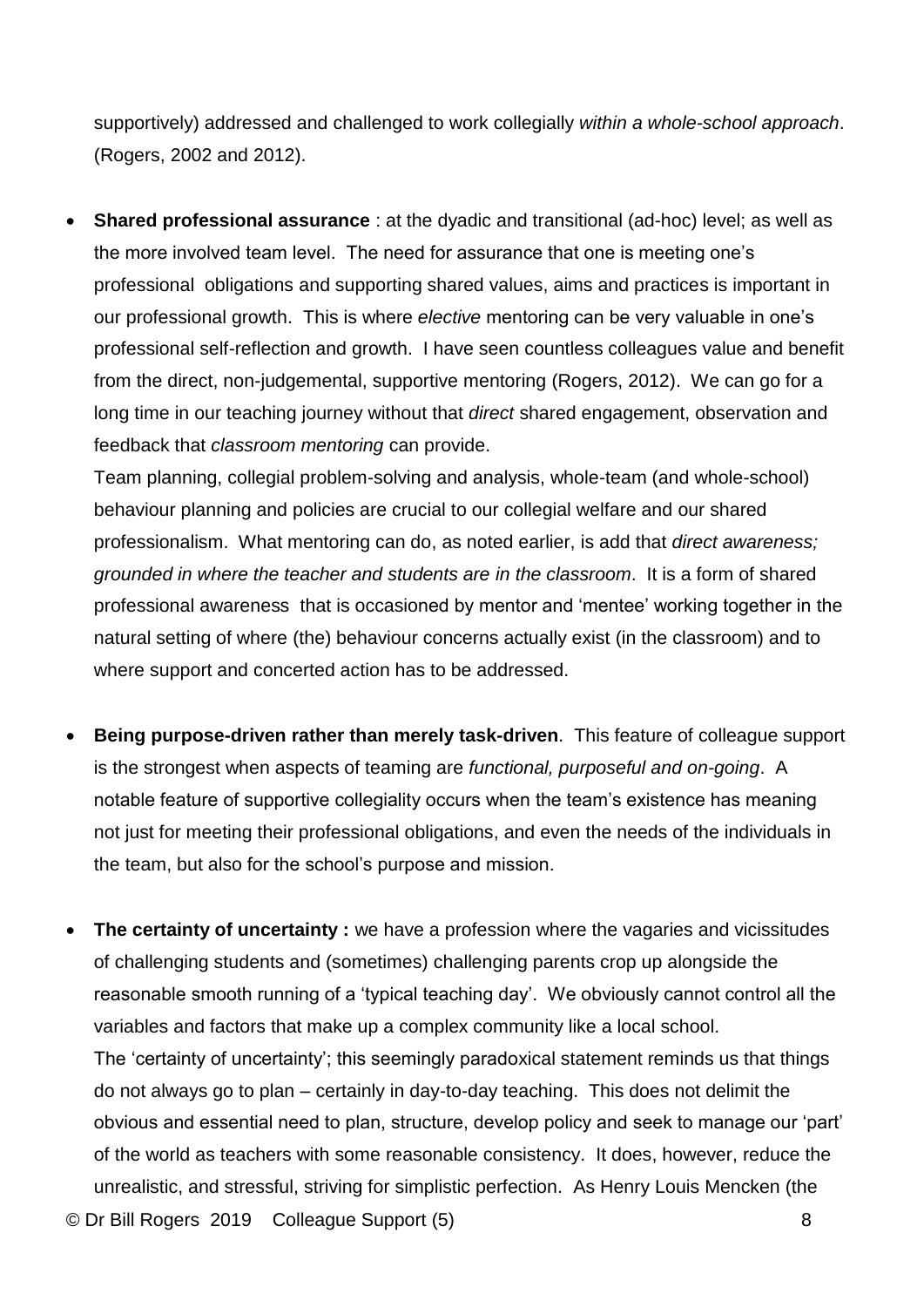supportively) addressed and challenged to work collegially *within a whole-school approach*. (Rogers, 2002 and 2012).

• **Shared professional assurance** : at the dyadic and transitional (ad-hoc) level; as well as the more involved team level. The need for assurance that one is meeting one's professional obligations and supporting shared values, aims and practices is important in our professional growth. This is where *elective* mentoring can be very valuable in one's professional self-reflection and growth. I have seen countless colleagues value and benefit from the direct, non-judgemental, supportive mentoring (Rogers, 2012). We can go for a long time in our teaching journey without that *direct* shared engagement, observation and feedback that *classroom mentoring* can provide.

Team planning, collegial problem-solving and analysis, whole-team (and whole-school) behaviour planning and policies are crucial to our collegial welfare and our shared professionalism. What mentoring can do, as noted earlier, is add that *direct awareness; grounded in where the teacher and students are in the classroom*. It is a form of shared professional awareness that is occasioned by mentor and 'mentee' working together in the natural setting of where (the) behaviour concerns actually exist (in the classroom) and to where support and concerted action has to be addressed.

- **Being purpose-driven rather than merely task-driven**. This feature of colleague support is the strongest when aspects of teaming are *functional, purposeful and on-going*. A notable feature of supportive collegiality occurs when the team's existence has meaning not just for meeting their professional obligations, and even the needs of the individuals in the team, but also for the school's purpose and mission.
- © Dr Bill Rogers 2019 Colleague Support (5) 8 • **The certainty of uncertainty :** we have a profession where the vagaries and vicissitudes of challenging students and (sometimes) challenging parents crop up alongside the reasonable smooth running of a 'typical teaching day'. We obviously cannot control all the variables and factors that make up a complex community like a local school. The 'certainty of uncertainty'; this seemingly paradoxical statement reminds us that things do not always go to plan – certainly in day-to-day teaching. This does not delimit the obvious and essential need to plan, structure, develop policy and seek to manage our 'part' of the world as teachers with some reasonable consistency. It does, however, reduce the unrealistic, and stressful, striving for simplistic perfection. As Henry Louis Mencken (the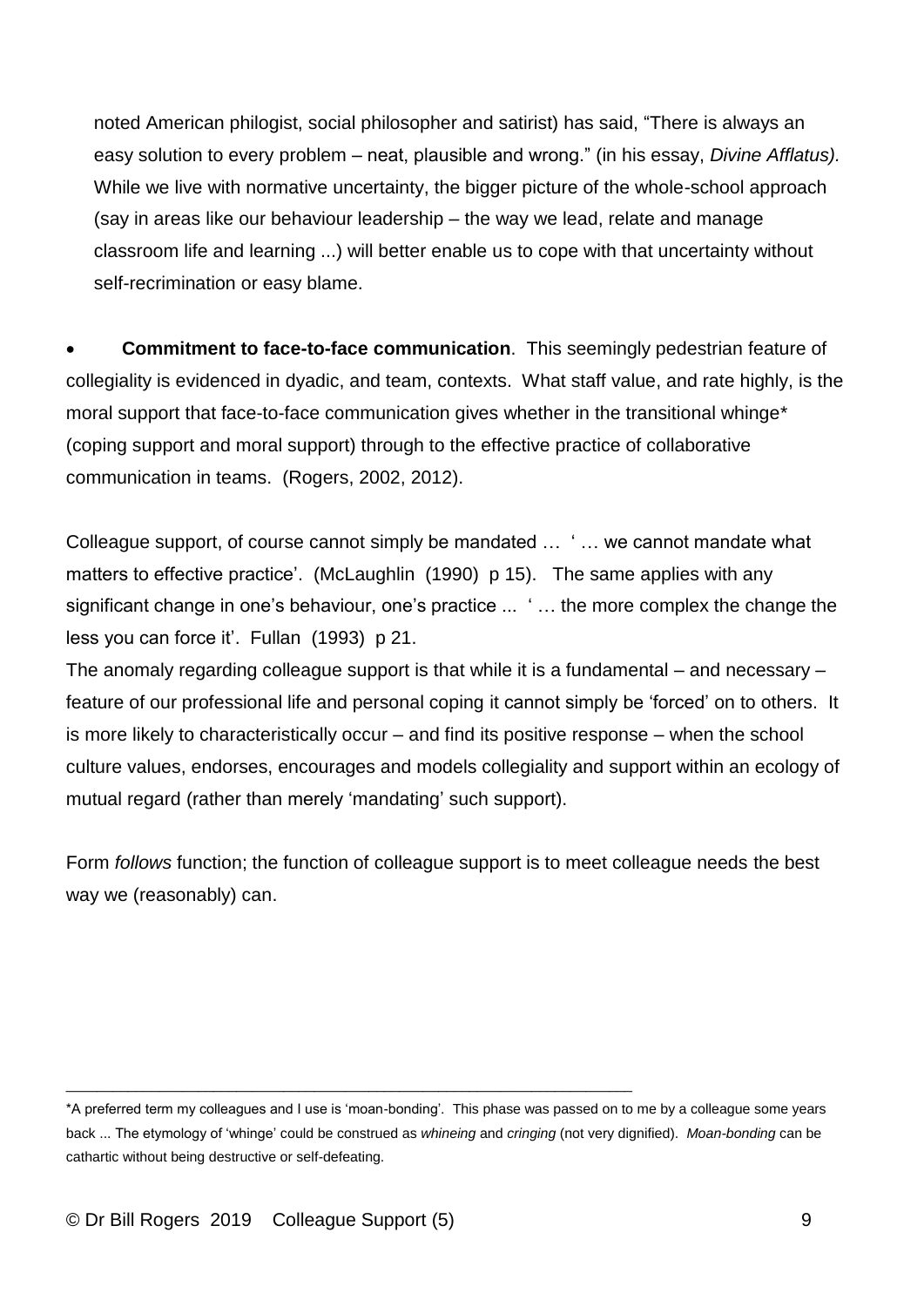noted American philogist, social philosopher and satirist) has said, "There is always an easy solution to every problem – neat, plausible and wrong." (in his essay, *Divine Afflatus).* While we live with normative uncertainty, the bigger picture of the whole-school approach (say in areas like our behaviour leadership – the way we lead, relate and manage classroom life and learning ...) will better enable us to cope with that uncertainty without self-recrimination or easy blame.

• **Commitment to face-to-face communication**. This seemingly pedestrian feature of collegiality is evidenced in dyadic, and team, contexts. What staff value, and rate highly, is the moral support that face-to-face communication gives whether in the transitional whinge\* (coping support and moral support) through to the effective practice of collaborative communication in teams. (Rogers, 2002, 2012).

Colleague support, of course cannot simply be mandated … ' … we cannot mandate what matters to effective practice'. (McLaughlin (1990) p 15). The same applies with any significant change in one's behaviour, one's practice ... ' … the more complex the change the less you can force it'. Fullan (1993) p 21.

The anomaly regarding colleague support is that while it is a fundamental – and necessary – feature of our professional life and personal coping it cannot simply be 'forced' on to others. It is more likely to characteristically occur – and find its positive response – when the school culture values, endorses, encourages and models collegiality and support within an ecology of mutual regard (rather than merely 'mandating' such support).

Form *follows* function; the function of colleague support is to meet colleague needs the best way we (reasonably) can.

\_\_\_\_\_\_\_\_\_\_\_\_\_\_\_\_\_\_\_\_\_\_\_\_\_\_\_\_\_\_\_\_\_\_\_\_\_\_\_\_\_\_\_\_\_\_\_\_\_\_\_\_\_\_\_\_\_\_\_\_\_\_\_\_\_\_\_\_\_\_\_\_\_

<sup>\*</sup>A preferred term my colleagues and I use is 'moan-bonding'. This phase was passed on to me by a colleague some years back ... The etymology of 'whinge' could be construed as *whineing* and *cringing* (not very dignified). *Moan-bonding* can be cathartic without being destructive or self-defeating.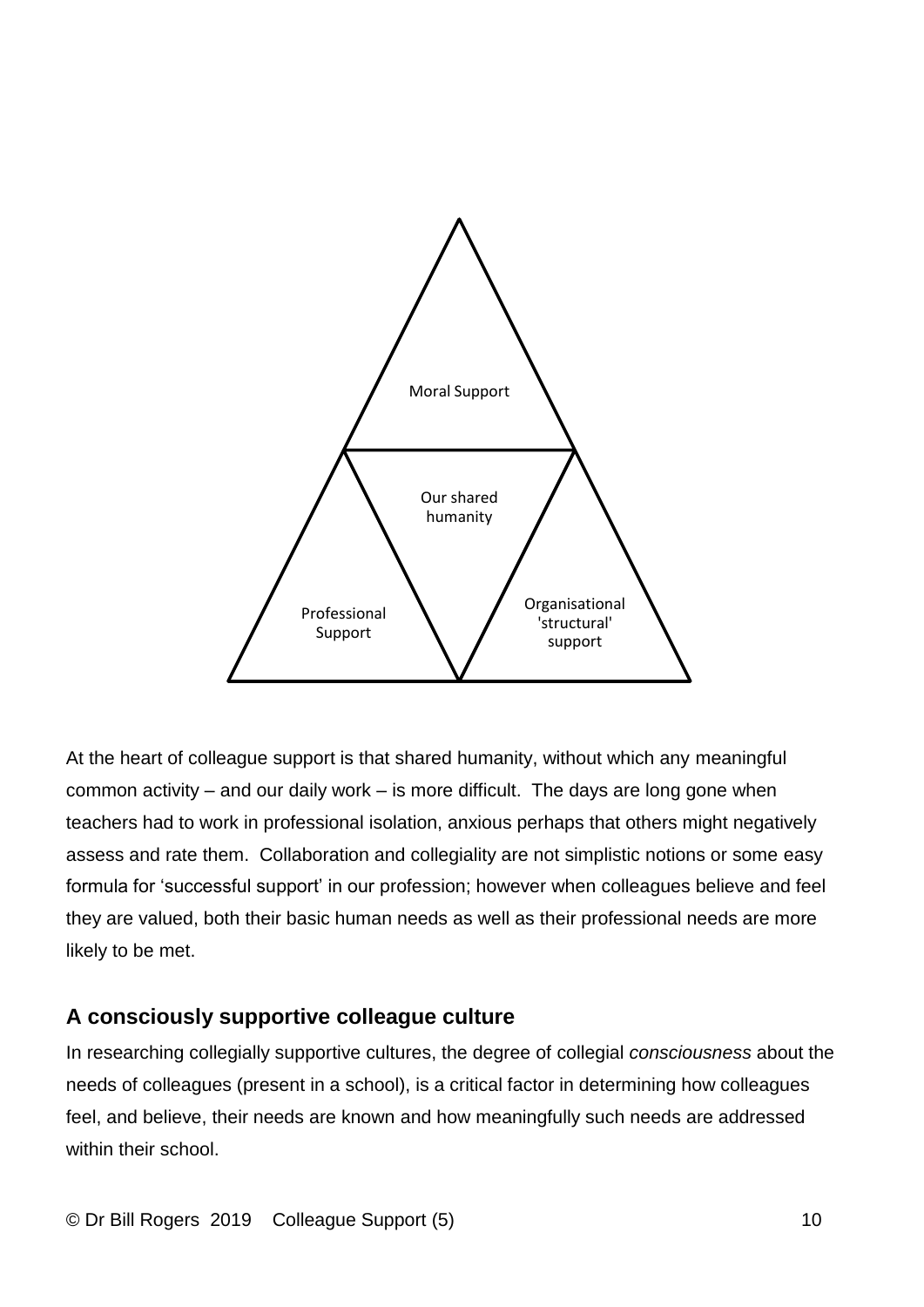

At the heart of colleague support is that shared humanity, without which any meaningful common activity – and our daily work – is more difficult. The days are long gone when teachers had to work in professional isolation, anxious perhaps that others might negatively assess and rate them. Collaboration and collegiality are not simplistic notions or some easy formula for 'successful support' in our profession; however when colleagues believe and feel they are valued, both their basic human needs as well as their professional needs are more likely to be met.

### **A consciously supportive colleague culture**

In researching collegially supportive cultures, the degree of collegial *consciousness* about the needs of colleagues (present in a school), is a critical factor in determining how colleagues feel, and believe, their needs are known and how meaningfully such needs are addressed within their school.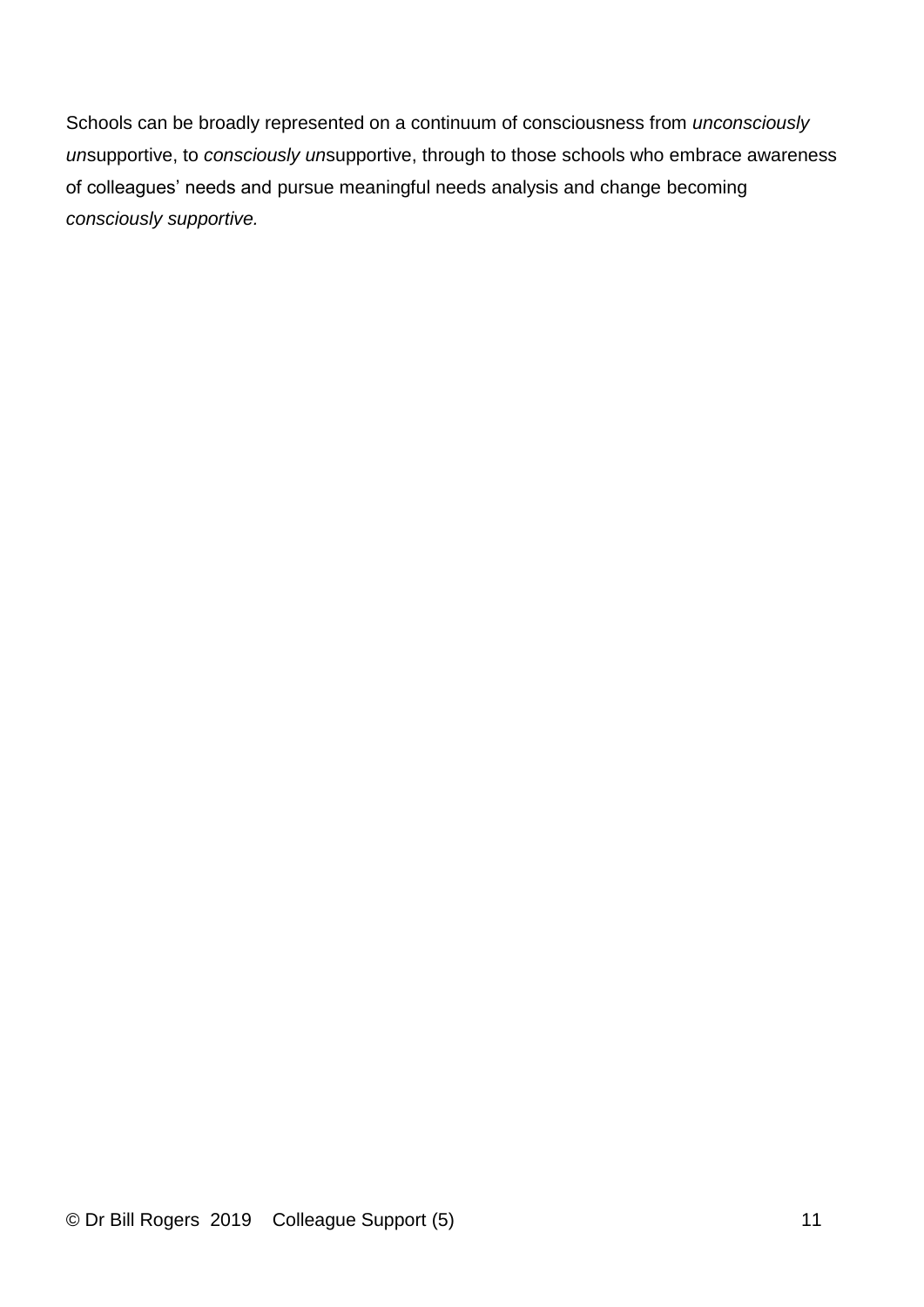Schools can be broadly represented on a continuum of consciousness from *unconsciously un*supportive, to *consciously un*supportive, through to those schools who embrace awareness of colleagues' needs and pursue meaningful needs analysis and change becoming *consciously supportive.*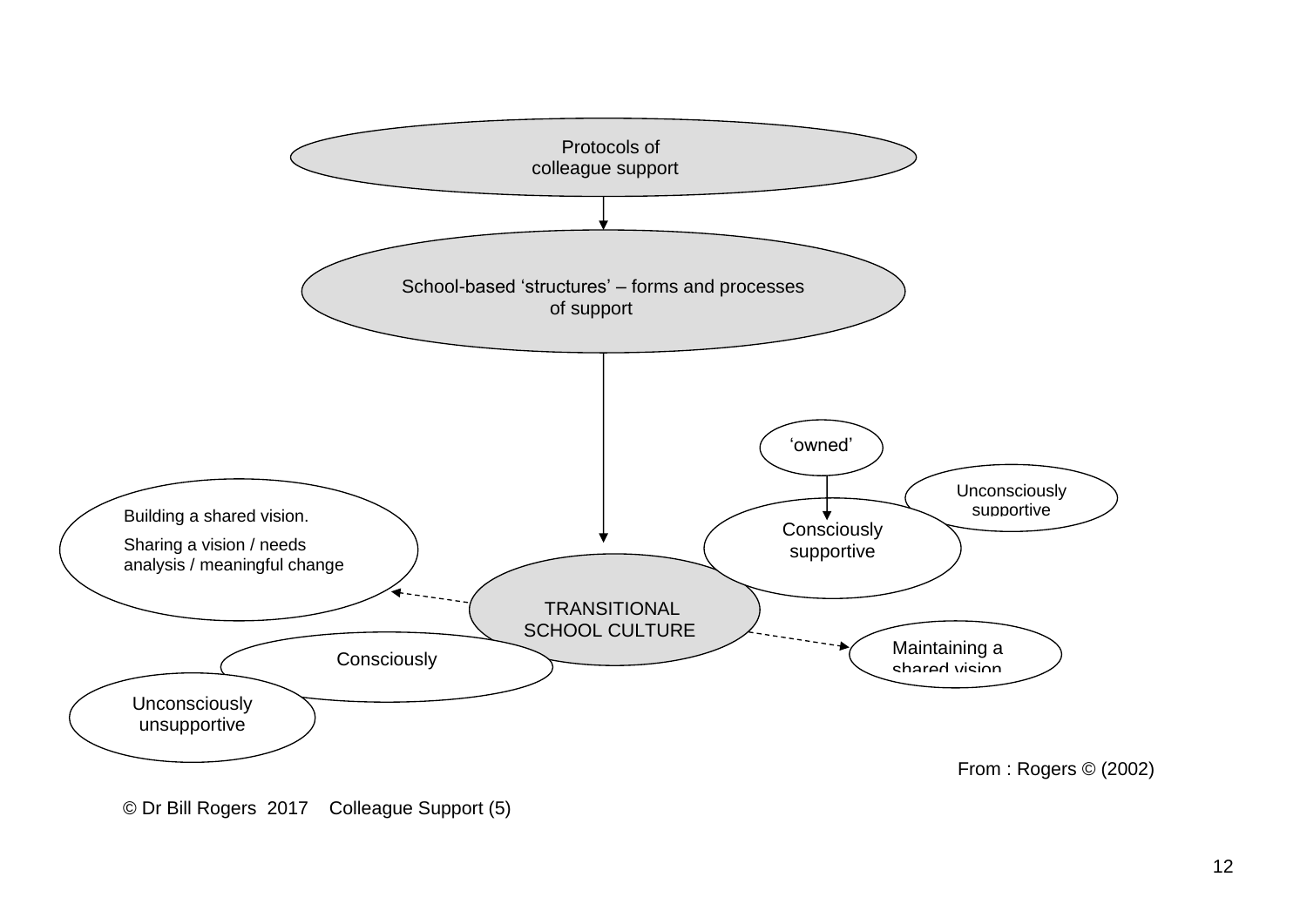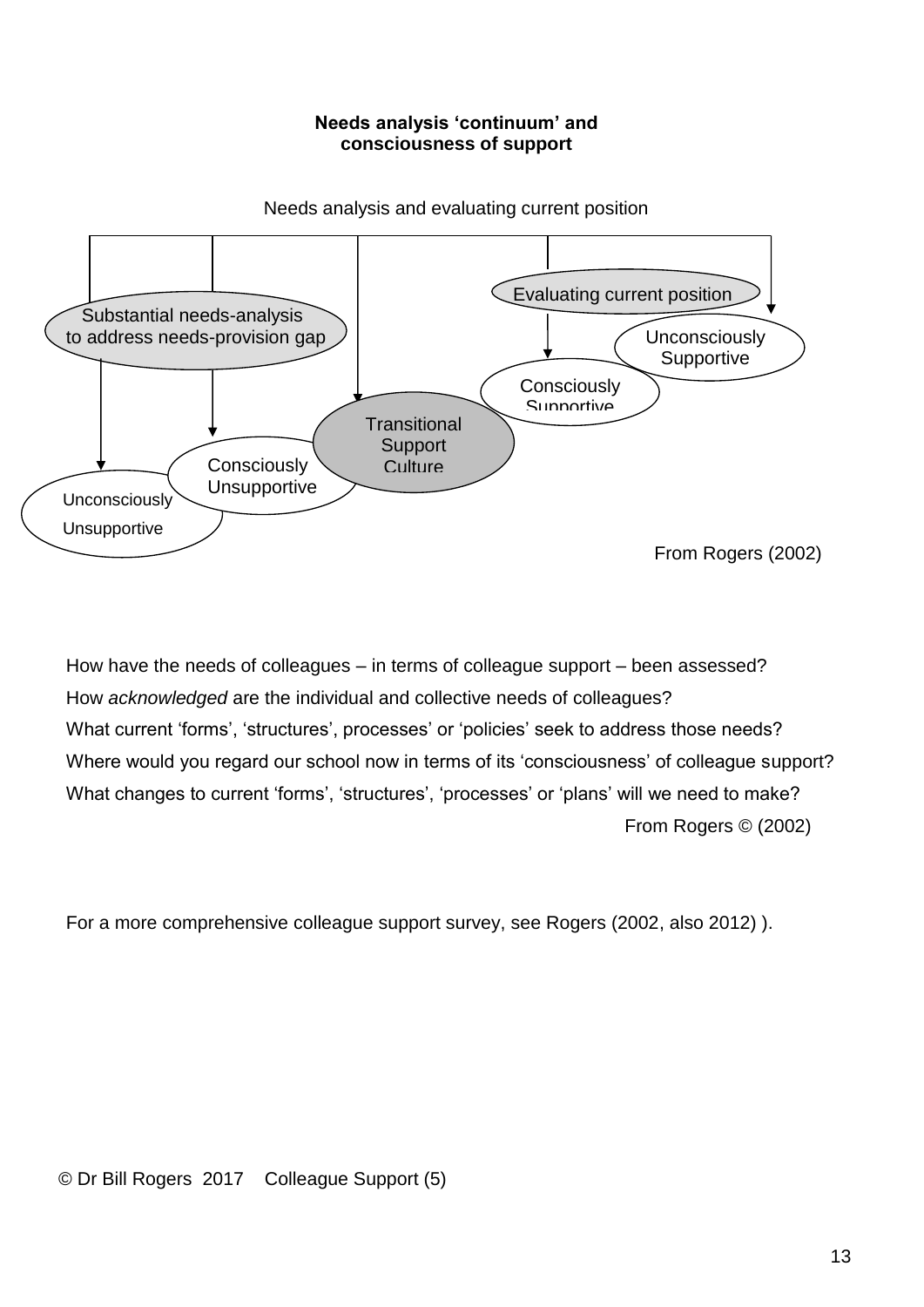#### **Needs analysis 'continuum' and consciousness of support**



Needs analysis and evaluating current position

How have the needs of colleagues – in terms of colleague support – been assessed? How *acknowledged* are the individual and collective needs of colleagues? What current 'forms', 'structures', processes' or 'policies' seek to address those needs? Where would you regard our school now in terms of its 'consciousness' of colleague support? What changes to current 'forms', 'structures', 'processes' or 'plans' will we need to make? From Rogers © (2002)

For a more comprehensive colleague support survey, see Rogers (2002, also 2012) ).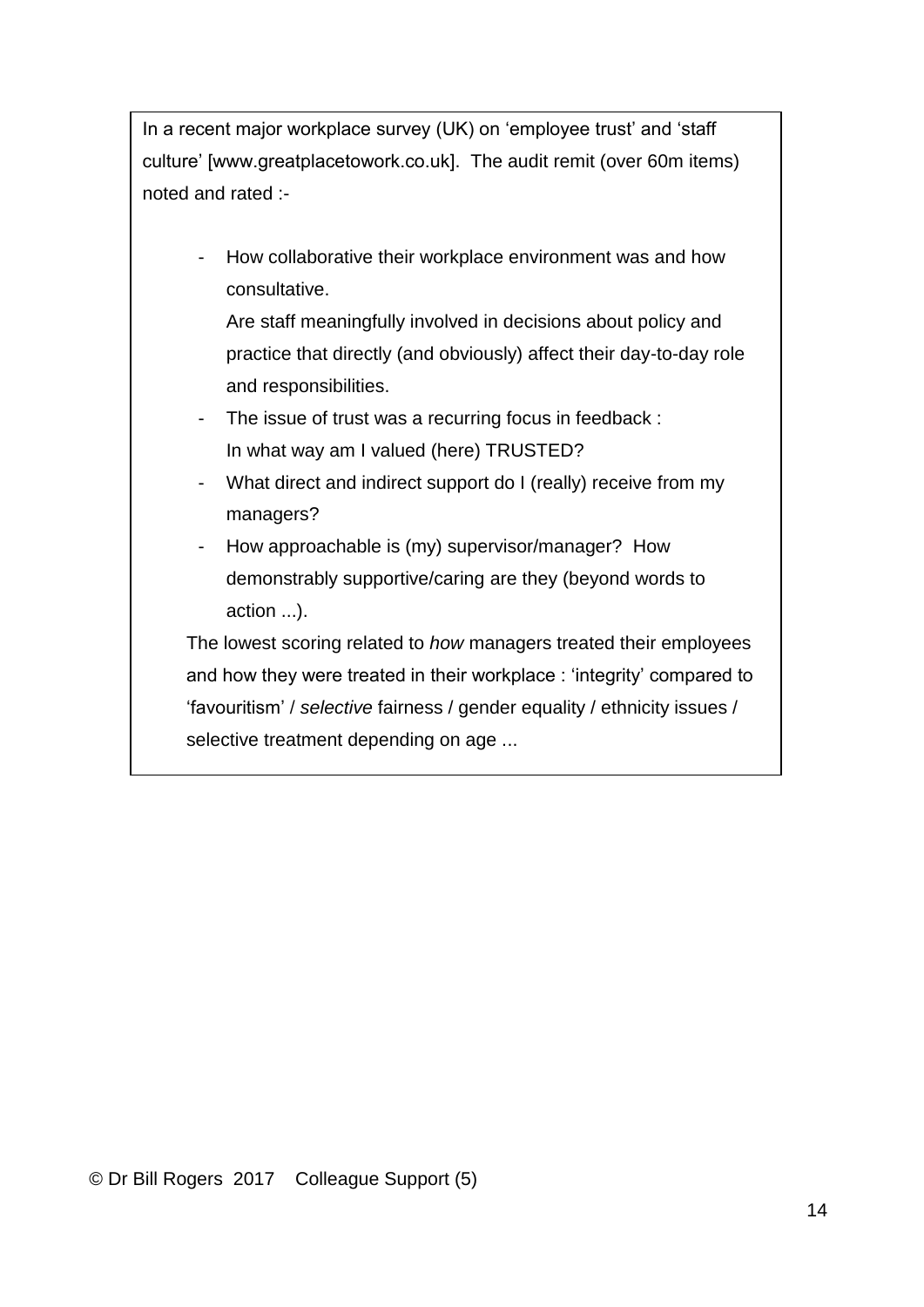In a recent major workplace survey (UK) on 'employee trust' and 'staff culture' [www.greatplacetowork.co.uk]. The audit remit (over 60m items) noted and rated :-

- How collaborative their workplace environment was and how consultative.

Are staff meaningfully involved in decisions about policy and practice that directly (and obviously) affect their day-to-day role and responsibilities.

- The issue of trust was a recurring focus in feedback : In what way am I valued (here) TRUSTED?
- What direct and indirect support do I (really) receive from my managers?
- How approachable is (my) supervisor/manager? How demonstrably supportive/caring are they (beyond words to action ...).

The lowest scoring related to *how* managers treated their employees and how they were treated in their workplace : 'integrity' compared to 'favouritism' / *selective* fairness / gender equality / ethnicity issues / selective treatment depending on age ...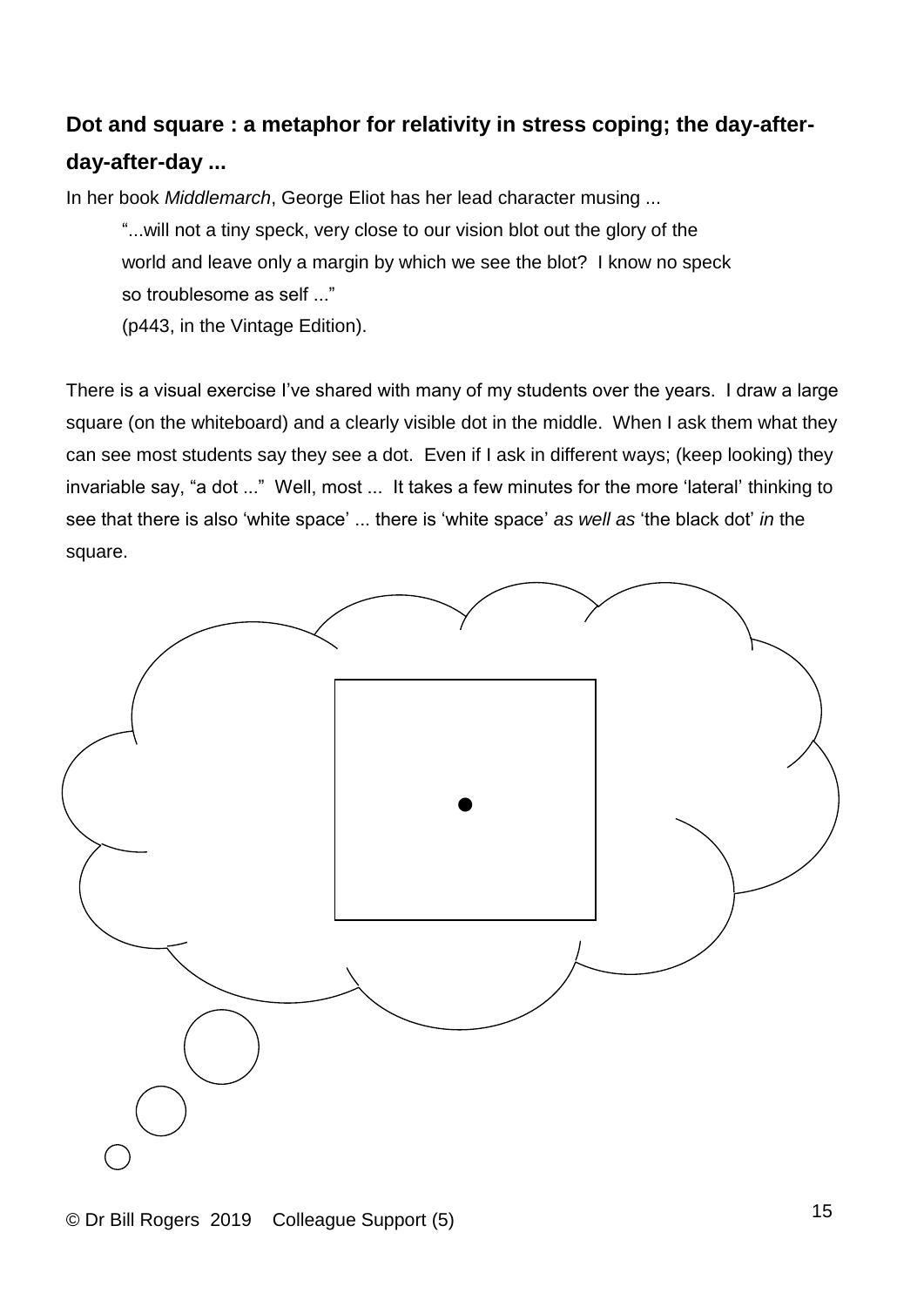## **Dot and square : a metaphor for relativity in stress coping; the day-afterday-after-day ...**

In her book *Middlemarch*, George Eliot has her lead character musing ...

"...will not a tiny speck, very close to our vision blot out the glory of the world and leave only a margin by which we see the blot? I know no speck so troublesome as self ..."

(p443, in the Vintage Edition).

There is a visual exercise I've shared with many of my students over the years. I draw a large square (on the whiteboard) and a clearly visible dot in the middle. When I ask them what they can see most students say they see a dot. Even if I ask in different ways; (keep looking) they invariable say, "a dot ..." Well, most ... It takes a few minutes for the more 'lateral' thinking to see that there is also 'white space' ... there is 'white space' *as well as* 'the black dot' *in* the square.

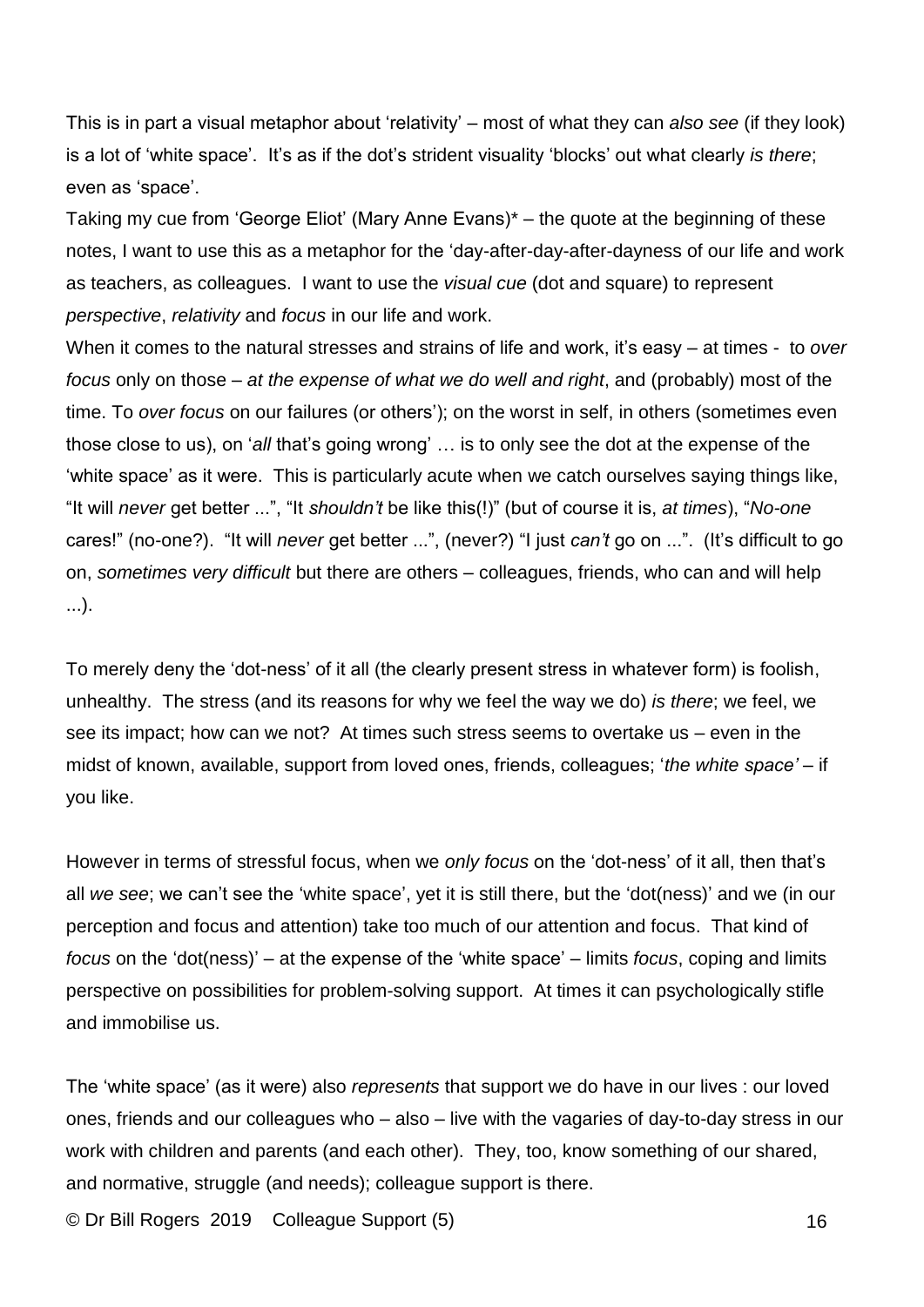This is in part a visual metaphor about 'relativity' – most of what they can *also see* (if they look) is a lot of 'white space'. It's as if the dot's strident visuality 'blocks' out what clearly *is there*; even as 'space'.

Taking my cue from 'George Eliot' (Mary Anne Evans)\* – the quote at the beginning of these notes, I want to use this as a metaphor for the 'day-after-day-after-dayness of our life and work as teachers, as colleagues. I want to use the *visual cue* (dot and square) to represent *perspective*, *relativity* and *focus* in our life and work.

When it comes to the natural stresses and strains of life and work, it's easy – at times - to *over focus* only on those – *at the expense of what we do well and right*, and (probably) most of the time. To *over focus* on our failures (or others'); on the worst in self, in others (sometimes even those close to us), on '*all* that's going wrong' … is to only see the dot at the expense of the 'white space' as it were. This is particularly acute when we catch ourselves saying things like, "It will *never* get better ...", "It *shouldn't* be like this(!)" (but of course it is, *at times*), "*No-one* cares!" (no-one?). "It will *never* get better ...", (never?) "I just *can't* go on ...". (It's difficult to go on, *sometimes very difficult* but there are others – colleagues, friends, who can and will help ...).

To merely deny the 'dot-ness' of it all (the clearly present stress in whatever form) is foolish, unhealthy. The stress (and its reasons for why we feel the way we do) *is there*; we feel, we see its impact; how can we not? At times such stress seems to overtake us – even in the midst of known, available, support from loved ones, friends, colleagues; '*the white space'* – if you like.

However in terms of stressful focus, when we *only focus* on the 'dot-ness' of it all, then that's all *we see*; we can't see the 'white space', yet it is still there, but the 'dot(ness)' and we (in our perception and focus and attention) take too much of our attention and focus. That kind of *focus* on the 'dot(ness)' – at the expense of the 'white space' – limits *focus*, coping and limits perspective on possibilities for problem-solving support. At times it can psychologically stifle and immobilise us.

The 'white space' (as it were) also *represents* that support we do have in our lives : our loved ones, friends and our colleagues who – also – live with the vagaries of day-to-day stress in our work with children and parents (and each other). They, too, know something of our shared, and normative, struggle (and needs); colleague support is there.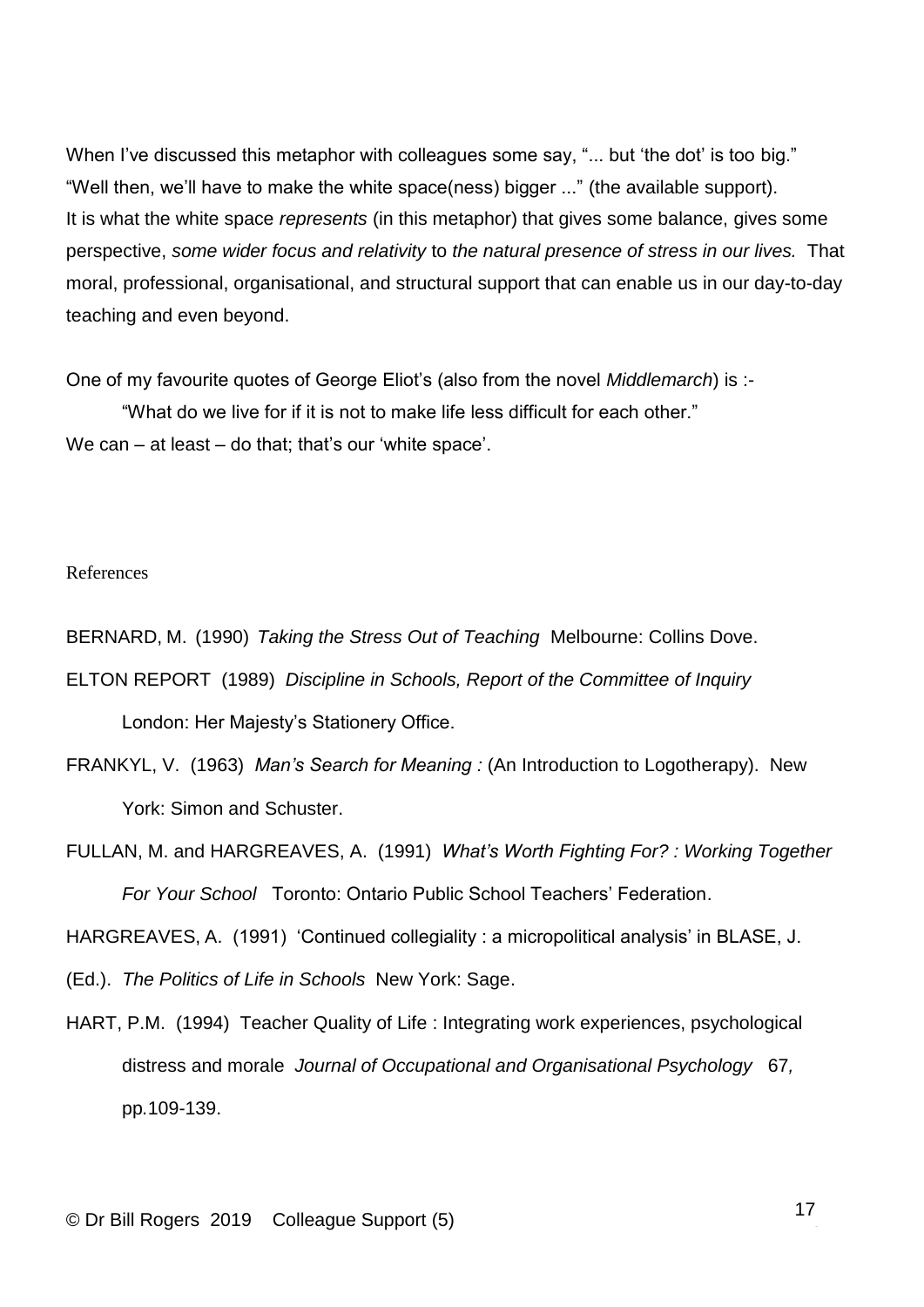When I've discussed this metaphor with colleagues some say, "... but 'the dot' is too big." "Well then, we'll have to make the white space(ness) bigger ..." (the available support). It is what the white space *represents* (in this metaphor) that gives some balance, gives some perspective, *some wider focus and relativity* to *the natural presence of stress in our lives.* That moral, professional, organisational, and structural support that can enable us in our day-to-day teaching and even beyond.

One of my favourite quotes of George Eliot's (also from the novel *Middlemarch*) is :-

"What do we live for if it is not to make life less difficult for each other." We can – at least – do that; that's our 'white space'.

#### References

BERNARD, M. (1990) *Taking the Stress Out of Teaching* Melbourne: Collins Dove.

- ELTON REPORT (1989) *Discipline in Schools, Report of the Committee of Inquiry* London: Her Majesty's Stationery Office.
- FRANKYL, V. (1963) *Man's Search for Meaning :* (An Introduction to Logotherapy). New York: Simon and Schuster.
- FULLAN, M. and HARGREAVES, A. (1991) *What's Worth Fighting For? : Working Together For Your School* Toronto: Ontario Public School Teachers' Federation.

HARGREAVES, A. (1991) 'Continued collegiality : a micropolitical analysis' in BLASE, J.

- (Ed.). *The Politics of Life in Schools* New York: Sage.
- HART, P.M. (1994) Teacher Quality of Life : Integrating work experiences, psychological distress and morale *Journal of Occupational and Organisational Psychology* 67*,*  pp*.*109-139.